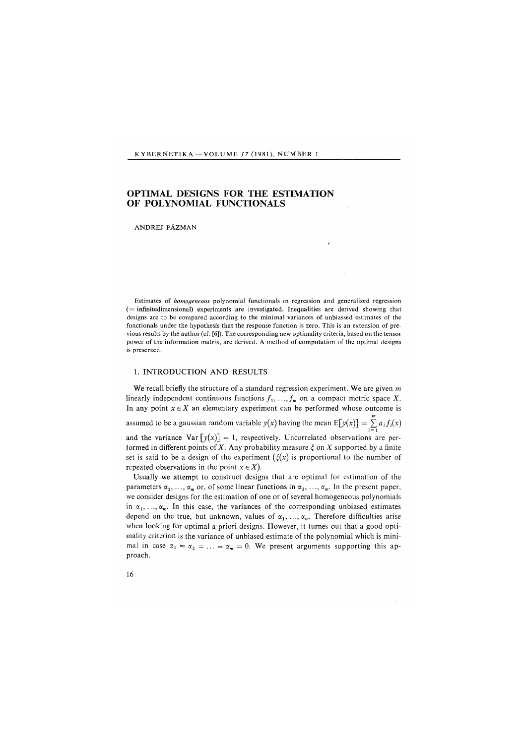### KYBERNETIKA - VOLUME 17 (1981), NUMBER 1

# OPTIMAL DESIGNS FOR THE ESTIMATION OF POLYNOMIAL FUNCTIONALS

#### ANDREJ PÁZMAN

Estimates of *homogeneous* polynomial functionals in regression and generalized regression ( = infinitedimensional) experiments are investigated. Inequalities are derived showing that designs are to be compared according to the minimal variances of unbiassed estimates of the functionals under the hypothesis that the response function is zero. This is an extension of previous results by the author (cf. [6]). The corresponding new optimality criteria, based on the tensor power of the information matrix, are derived. A method of computation of the optimal designs is presented.

#### 1. INTRODUCTION AND RESULTS

We recall briefly the structure of a standard regression experiment. We are given *m*  linearly independent continuous functions  $f_1, \ldots, f_m$  on a compact metric space X. In any point  $x \in X$  an elementary experiment can be performed whose outcome is assumed to be a gaussian random variable  $y(x)$  having the mean  $E[y(x)] = \sum_{i=1} a_i f_i(x)$ and the variance Var  $[y(x)] = 1$ , respectively. Uncorrelated observations are performed in different points of  $X$ . Any probability measure  $\xi$  on  $X$  supported by a finite set is said to be a design of the experiment  $(\xi(x))$  is proportional to the number of repeated observations in the point  $x \in X$ ).

Usually we attempt to construct designs that are optimal for estimation of the parameters  $\alpha_1, \ldots, \alpha_m$  or, of some linear functions in  $\alpha_1, \ldots, \alpha_m$ . In the present paper, we consider designs for the estimation of one or of several homogeneous polynomials in  $\alpha_1, \ldots, \alpha_m$ . In this case, the variances of the corresponding unbiased estimates depend on the true, but unknown, values of  $\alpha_1, \ldots, \alpha_m$ . Therefore difficulties arise when looking for optimal a priori designs. However, it turnes out that a good optimality criterion is the variance of unbiased estimate of the polynomial which is minimal in case  $\alpha_1 = \alpha_2 = \ldots = \alpha_m = 0$ . We present arguments supporting this approach.

16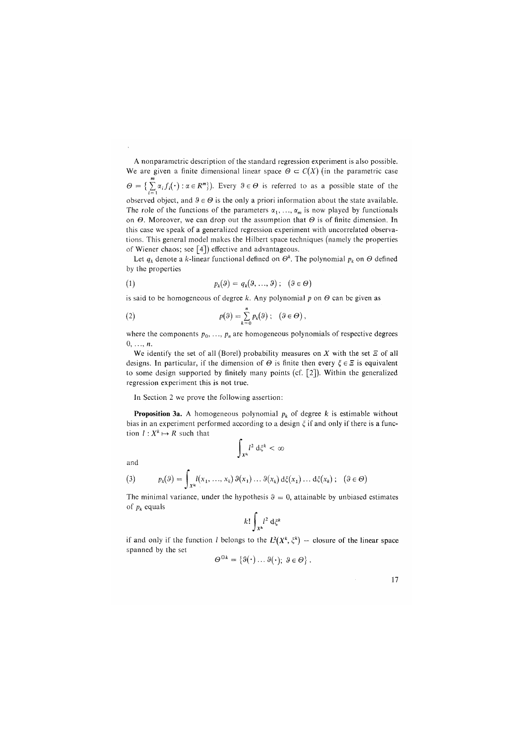A nonparametric description of the standard regression experiment is also possible. We are given a finite dimensional linear space  $\Theta \subset C(X)$  (in the parametric case  $\Theta = \{\sum_{i=1}^{m} \alpha_i f_i(\cdot) : \alpha \in R^m\}$ . Every  $\vartheta \in \Theta$  is referred to as a possible state of the observed object, and  $\theta \in \Theta$  is the only a priori information about the state available. The role of the functions of the parameters  $\alpha_1, \ldots, \alpha_m$  is now played by functionals The role of the functions of the parameters a<sub>ft</sub> in,  $a_m$  is now played by functionals this case we speak of a generalized regression experiment with uncorrelated observathis case we speak of a generalized regression experiment with uncorrelated observations. This general model makes the Hilbert space techniques (namely the properties of Wiener chaos; see [4]) effective and advantageous.

Let  $q_k$  denote a  $k$ -linear functional defined on  $\mathcal{O}^k$ . The polynomial  $p_k$  on  $\mathcal{O}$  defined by the properties

(1) 
$$
p_k(\theta) = q_k(\theta, ..., \theta); \quad (\theta \in \Theta)
$$

is said to be homogeneous of degree *k.* Any polynomial *p* on *0* can be given as

(2) 
$$
p(\theta) = \sum_{k=0}^{n} p_k(\theta) ; \quad (\theta \in \Theta),
$$

where the components  $p_0, \ldots, p_n$  are homogeneous polynomials of respective degrees 0, ..., *n.* 

We identify the set of all (Borel) probability measures on  $X$  with the set  $E$  of all designs. In particular, if the dimension of  $\Theta$  is finite then every  $\xi \in \Xi$  is equivalent to some design supported by finitely many points (cf. [2]). Within the generalized regression experiment this is not true.

In Section 2 we prove the following assertion:

**Proposition 3a.** A homogeneous polynomial  $p_k$  of degree k is estimable without bias in an experiment performed according to a design  $\xi$  if and only if there is a function  $l: X^k \mapsto R$  such that  $\mathbf{r}$ 

 $< \infty$ 

$$
\int_{X^k} l^2 \, \mathrm{d}\xi^k
$$

and

(3) 
$$
p_k(\theta) = \int_{X^k} l(x_1, ..., x_k) \vartheta(x_1) ... \vartheta(x_k) d\xi(x_1) ... d\xi(x_k); \quad (\theta \in \Theta)
$$

The minimal variance, under the hypothesis  $9 = 0$ , attainable by unbiased estimates of *p<sup>k</sup>* equals

$$
k!\int_{X^k} l^2 \, \mathrm{d}\xi^k
$$

if and only if the function *l* belongs to the  $L^2(X^k, \xi^k)$  — closure of the linear space spanned by the set

$$
\Theta^{\odot k} = \{ \vartheta(\cdot) \dots \vartheta(\cdot); \ \vartheta \in \Theta \} .
$$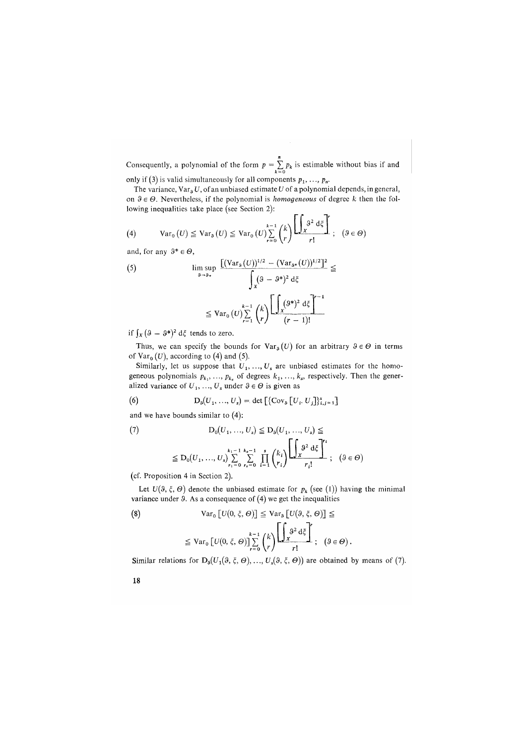Consequently, a polynomial of the form  $p = \sum_{k=0}^{n} p_k$  is estimable without bias if and

only if (3) is valid simultaneously for all components  $p_1, ..., p_n$ .

The variance, Vars *U*, of an unbiased estimate *U* of a polynomial depends, in general, on  $\vartheta \in \Theta$ . Nevertheless, if the polynomial is *homogeneous* of degree *k* then the following inequalities take place *(*see Section 2):

(4) 
$$
Var_0(U) \leq Var_0(U) \leq Var_0(U) \sum_{r=0}^{k-1} {k \choose r} \left[ \frac{\int_{X} 3^2 d\xi}{r!} \right]; \quad (9 \in \Theta)
$$

and, for any  $9^* \in \Theta$ ,

$$
\begin{aligned} \text{(5)} & \limsup_{\mathfrak{g}\to\mathfrak{g}_{*}} \frac{\left[ (\text{Var}_{\mathfrak{g}}(U))^{1/2} - (\text{Var}_{\mathfrak{g}^{*}}(U))^{1/2} \right]^{2}}{\int_{X} (\mathfrak{g} - \mathfrak{g}^{*})^{2} \, \mathrm{d}\xi} \\ &\leq \text{Var}_{0}(U) \sum_{r=1}^{k-1} \binom{k}{r} \frac{\left[ \int_{X} (\mathfrak{g}^{*})^{2} \, \mathrm{d}\xi \right]^{r-1}}{(r-1)!} \end{aligned}
$$

if  $\int_X (3 - 9^*)^2 d\xi$  tends to zero.

Thus, we can specify the bounds for  $Var_{\theta}(U)$  for an arbitrary  $\theta \in \Theta$  in terms of  $Var_0(U)$ , according to (4) and (5).

Similarly, let us suppose that  $U_1, \ldots, U_s$  are unbiased estimates for the homogeneous polynomials  $p_{k_1}, \ldots, p_{k_s}$  of degrees  $k_1, \ldots, k_s$ , respectively. Then the generalized variance of  $U_1, ..., U_s$  under  $\vartheta \in \Theta$  is given as

(6) 
$$
D_3(U_1, ..., U_s) = \det \left[ \{Cov_3 \left[ U_i, U_j \right] \}_{i,j=1}^s \right]
$$

and we have bounds similar to (4):

(7) 
$$
D_0(U_1, ..., U_s) \le D_0(U_1, ..., U_s) \le
$$

$$
\le D_0(U_1, ..., U_s) \sum_{r_1=0}^{k_1-1} \sum_{r_s=0}^{k_s-1} \prod_{i=1}^s {k_i \choose r_i} \left[ \int_X 3^2 d\xi \right]^{r_1}, \quad (9 \in \Theta)
$$

*(*cf. Proposition 4 in Section 2).

Let  $U(9, \xi, \Theta)$  denote the unbiased estimate for  $p_k$  (see (1)) having the minimal variance under *9.* As a consequence of *(*4) we get the inequalities

(8) 
$$
\operatorname{Var}_0 \left[ U(0, \xi, \Theta) \right] \leq \operatorname{Var}_9 \left[ U(3, \xi, \Theta) \right] \leq
$$

$$
\leq \operatorname{Var}_0 \left[ U(0, \xi, \Theta) \right] \sum_{r=0}^{k-1} {k \choose r} \left[ \int_X 3^2 \, \mathrm{d}\xi \right]^r ; \quad (9 \in \Theta).
$$

Similar relations for  $D_0(U_1(9, \xi, \Theta),..., U_s(9, \xi, \Theta))$  are obtained by means of (7).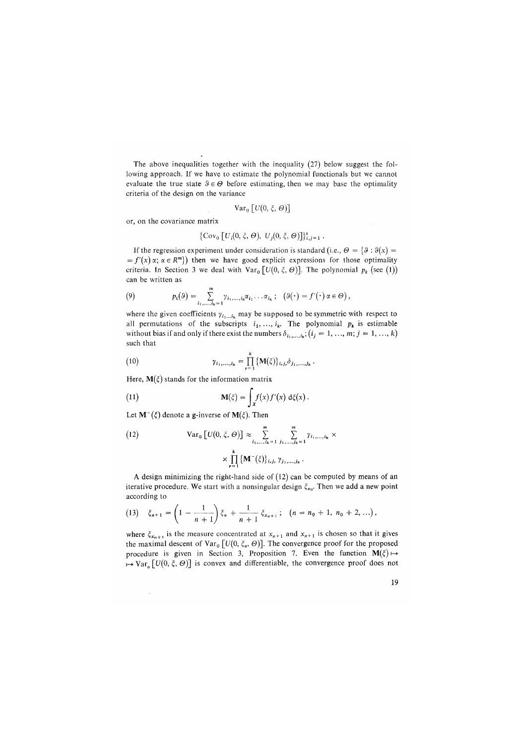The above inequalities together with the inequality (27) below suggest the following approach. If we have to estimate the polynomial functionals but we cannot evaluate the true state  $\theta \in \Theta$  before estimating, then we may base the optimality criteria of the design on the variance

$$
\mathrm{Var}_0\left[U(0,\xi,\Theta)\right]
$$

or, on the covariance matrix

$$
\{\mathrm{Cov}_0\left[U_i(0,\xi,\Theta),\ U_j(0,\xi,\Theta)\right]\}_{i,j=1}^s.
$$

If the regression experiment under consideration is standard (i.e.,  $\Theta = \{\vartheta : \vartheta(x) =$  $=f'(x)$   $\alpha$ ;  $\alpha \in R^m$ }) then we have good explicit expressions for those optimality criteria. In Section 3 we deal with  $Var_0 [U(0, \xi, \Theta)]$ . The polynomial  $p_k$  (see (1)) can be written as

(9) 
$$
p_k(\theta) = \sum_{i_1,\ldots,i_k=1}^m \gamma_{i_1,\ldots,i_k} \alpha_{i_1}\ldots \alpha_{i_k}; \quad (\theta(\cdot) = f'(\cdot) \alpha \in \Theta),
$$

where the given coefficients  $\gamma_{i_1...i_k}$  may be supposed to be symmetric with respect to all permutations of the subscripts  $i_1, \ldots, i_k$ . The polynomial  $p_k$  is estimable without bias if and only if there exist the numbers  $\delta_{i_1,...,i_k}$ ;  $(i_j = 1, ..., m; j = 1, ..., k)$ such that

(10) 
$$
\gamma_{i_1,...,i_k} = \prod_{r=1}^k {\bf M}(\xi) \}_{i_r,j_r} \delta_{j_1,...,j_k}.
$$

Here,  $M(\xi)$  stands for the information matrix

(11) 
$$
\mathbf{M}(\xi) = \int_{\mathbf{x}} f(x) f'(x) d\xi(x).
$$

Let  $M^-(\xi)$  denote a g-inverse of  $M(\xi)$ . Then

(12) 
$$
\operatorname{Var}_{0} \left[ U(0, \xi, \Theta) \right] \approx \sum_{i_1, \dots, i_k = 1}^{m} \sum_{j_1, \dots, j_k = 1}^{m} \gamma_{i_1, \dots, i_k} \times \times \prod_{r=1}^{k} \left\{ \mathbf{M}^{-}(\xi) \right\}_{i_r j_r} \gamma_{j_1, \dots, j_k}.
$$

A design minimizing the right-hand side of (12) can be computed by means of an iterative procedure. We start with a nonsingular design  $\xi_{n_0}$ . Then we add a new point according to

$$
(13) \quad \xi_{n+1} = \left(1 - \frac{1}{n+1}\right)\xi_n + \frac{1}{n+1}\xi_{x_{n+1}}; \quad (n = n_0 + 1, n_0 + 2, \ldots),
$$

where  $\xi_{x_{n+1}}$  is the measure concentrated at  $x_{n+1}$  and  $x_{n+1}$  is chosen so that it gives the maximal descent of Var<sub>0</sub>  $[U(0, \xi_n, \Theta)]$ . The convergence proof for the proposed procedure is given in Section 3, Proposition 7. Even the function  $M(\xi) \mapsto$  $\mapsto \text{Var}_{\mathfrak{o}}\left[U(0,\xi,\Theta)\right]$  is convex and differentiable, the convergence proof does not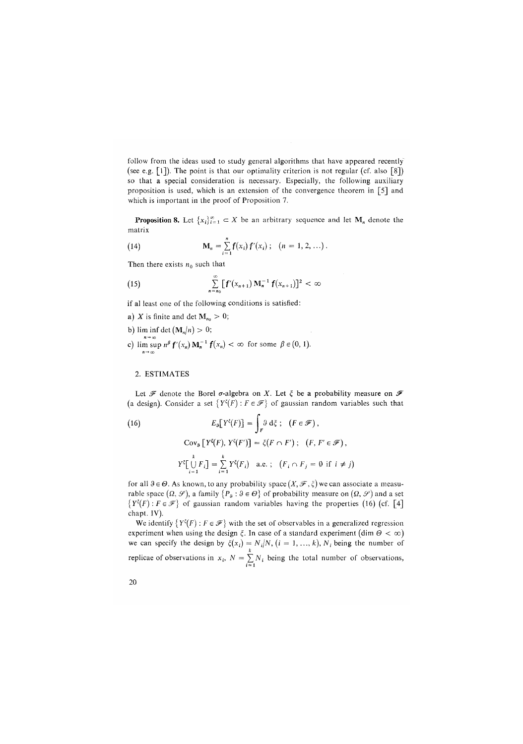follow from the ideas used to study general algorithms that have appeared recently (see e.g.  $[1]$ ). The point is that our optimality criterion is not regular (cf. also  $[8]$ ) so that a special consideration is necessary. Especially, the following auxiliary proposition is used, which is an extension of the convergence theorem in [5] and which is important in the proof of Proposition 7.

**Proposition 8.** Let  $\{x_i\}_{i=1}^{\infty} \subset X$  be an arbitrary sequence and let  $M_n$  denote the matrix

(14) 
$$
\mathbf{M}_n = \sum_{i=1}^n \mathbf{f}(x_i) \mathbf{f}'(x_i); \quad (n = 1, 2, ...).
$$

Then there exists  $n_0$  such that

(15) 
$$
\sum_{n=n_0}^{\infty} [f'(x_{n+1}) \mathbf{M}_n^{-1} f(x_{n+1})]^2 < \infty
$$

if al least one of the following conditions is satisfied:

- a) X is finite and det  $M_{n<sub>0</sub>} > 0$ ;
- b) lim inf det  $(M_n/n) > 0$ ; c)  $\limsup_{n \to \infty} n^{\beta} f'(x_n) \mathbf{M}_n^{-1} f(x_n) < \infty$  for some  $\beta \in (0, 1)$ .

#### 2. ESTIMATES

Let  $\mathscr F$  denote the Borel  $\sigma$ -algebra on X. Let  $\zeta$  be a probability measure on  $\mathscr F$ (a design). Consider a set  $\{Y^{\xi}(F) : F \in \mathcal{F}\}\$  of gaussian random variables such that

(16) 
$$
E_9[Y^{\xi}(F)] = \int_F^3 d\xi ; (F \in \mathcal{F}),
$$

$$
Cov_9[Y^{\xi}(F), Y^{\xi}(F')] = \xi(F \cap F'); (F, F' \in \mathcal{F}),
$$

$$
Y^{\xi}[\bigcup_{i=1}^k F_i] = \sum_{i=1}^k Y^{\xi}(F_i) \text{ a.e.}; (F_i \cap F_j = 0 \text{ if } i \neq j)
$$

for all  $\theta \in \Theta$ . As known, to any probability space  $(X, \mathcal{F}, \xi)$  we can associate a measurable space  $(\Omega, \mathscr{S})$ , a family  $\{P_{\varnothing} : \vartheta \in \Theta\}$  of probability measure on  $(\Omega, \mathscr{S})$  and a set  ${Y^{\xi}(F): F \in \mathcal{F}}$  of gaussian random variables having the properties (16) (cf. [4] chapt. IV).

We identify  ${Y^{\xi}(F) : F \in \mathcal{F}}$  with the set of observables in a generalized regression experiment when using the design  $\xi$ . In case of a standard experiment (dim  $\Theta < \infty$ ) we can specify the design by  $\xi(x_i) = N_i/N$ ,  $(i = 1, ..., k)$ ,  $N_i$  being the number of replicae of observations in  $x_i$ ,  $N = \sum_{i=1}^{n} N_i$  being the total number of observations,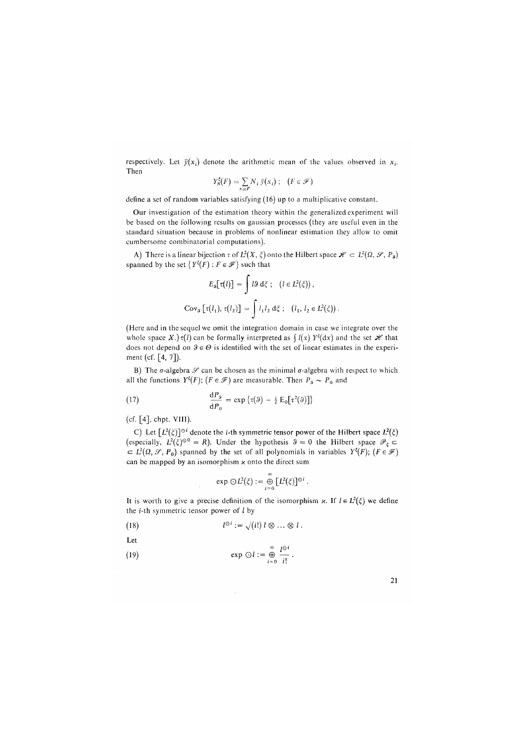respectively. Let  $\bar{y}(x_i)$  denote the arithmetic mean of the values observed in  $x_i$ . Then

$$
Y_N^{\xi}(F) = \sum_{x_i \in F} N_i \bar{y}(x_i) ; \quad (F \in \mathcal{F})
$$

define a set of random variables satisfying (16) up to a multiplicative constant.

Our investigation of the estimation theory within the generalized experiment will be based on the following results on gaussian processes (they are useful even in the standard situation because in problems of nonlinear estimation they allow to omit cumbersome combinatorial computations).

A) There is a linear bijection  $\tau$  of  $L^2(X, \xi)$  onto the Hilbert space  $\mathscr{H} \subset L^2(\Omega, \mathscr{S}, P_{\mathfrak{g}})$ spanned by the set  $\{Y^{\xi}(F): F \in \mathcal{F}\}\)$  such that

$$
E_9[\tau(l)] = \int l \cdot 9 \, d\xi \; ; \quad (l \in L^2(\xi)),
$$
  
\n
$$
Cov_9[\tau(l_1), \tau(l_2)] = \int l_1 l_2 \, d\xi \; ; \quad (l_1, l_2 \in L^2(\xi)).
$$

(Here and in the sequel we omit the integration domain in case we integrate over the whole space X.) $\tau(l)$  can be formally interpreted as  $\int l(x) Y^{\xi}(dx)$  and the set  $\mathcal{H}$  that does not depend on  $\theta \in \Theta$  is identified with the set of linear estimates in the experiment (cf. [4, 7]).

B) The  $\sigma$ -algebra  $\mathscr S$  can be chosen as the minimal  $\sigma$ -algebra with respect to which all the functions  $Y^{\xi}(F); (F \in \mathcal{F})$  are measurable. Then  $P_{\theta} \sim P_0$  and

(17) 
$$
\frac{\mathrm{d}P_{\theta}}{\mathrm{d}P_{0}} = \exp \left\{ \tau(\theta) - \frac{1}{2} \mathrm{E}_{0} \left[ \tau^{2}(\theta) \right] \right\}
$$

(cf. [4], chpt. VIII).

C) Let  $[L^2(\xi)]^{\odot i}$  denote the *i*-th symmetric tensor power of the Hilbert space  $L^2(\xi)$ (especially,  $L^2(\xi)^{\odot 0} = R$ ). Under the hypothesis  $\theta = 0$  the Hilbert space  $\mathcal{P}_{\xi} \subset$  $\subset L^2(\Omega, \mathcal{S}, P_0)$  spanned by the set of all polynomials in variables  $Y^{\xi}(F)$ ; ( $F \in \mathcal{F}$ ) can be mapped by an isomorphism *x* onto the direct sum

$$
\exp \odot L^2(\xi) := \bigoplus_{i=0}^{\infty} [L^2(\xi)]^{\odot i}.
$$

It is worth to give a precise definition of the isomorphism  $x$ . If  $l \in L^2(\xi)$  we define the  $i$ -th symmetric tensor power of  $l$  by

(18) 
$$
l^{\odot i} := \sqrt{(i!) \, l \otimes \ldots \otimes l}.
$$

Let  
\n
$$
\exp \odot l := \bigoplus_{i=0}^{\infty} \frac{l^{0i}}{i!}.
$$

| ٧<br>× |  |
|--------|--|
|        |  |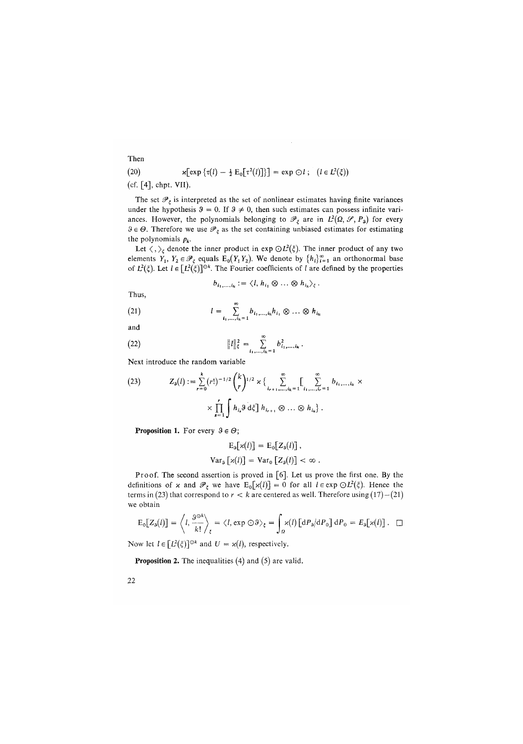(20) 
$$
\mathbf{x}[\exp{\{\tau(l) - \frac{1}{2} E_0[\tau^2(l)]\}}] = \exp{\bigcirc l \; ; \; (l \in L^2(\xi))}
$$
 (cf. [4] chnt. VII)

 $[4]$ , chp

The set  $\mathcal{P}_{\xi}$  is interpreted as the set of nonlinear estimates having finite variances under the hypothesis  $3 = 0$ . If  $3 \neq 0$ , then such estimates can possess infinite variances. However, the polynomials belonging to  $\mathscr{P}_{\xi}$  are in  $L^2(\Omega, \mathscr{S}, P_3)$  for every  $3 \in \Theta$ . Therefore we use  $\mathscr{P}_{\varepsilon}$  as the set containing unbiased estimates for estimating the polynomials *pk.* 

Let  $\langle , \rangle_{\xi}$  denote the inner product in exp  $\bigodot L^2(\xi)$ . The inner product of any two elements  $Y_1, Y_2 \in \mathcal{P}_\xi$  equals  $E_0(Y_1 Y_2)$ . We denote by  $\{h_i\}_{i=1}^\infty$  an orthonormal base of  $L^2(\xi)$ . Let  $l \in [L^2(\xi)]^{\odot k}$ . The Fourier coefficients of l are defined by the properties

$$
b_{i_1,\ldots,i_k} := \langle l, h_{i_1} \otimes \ldots \otimes h_{i_k} \rangle_{\xi}.
$$

Thus,

(21) 
$$
l = \sum_{i_1,...,i_k=1}^{\infty} b_{i_1,...,i_k} h_{i_1} \otimes ... \otimes h_{i_k}
$$

and

(22) 
$$
||l||_{\xi}^{2} = \sum_{i_{1},...,i_{k}=1}^{\infty} b_{i_{1},...,i_{k}}^{2}.
$$

Next introduce the random variable

(23) 
$$
Z_{\mathfrak{s}}(l) := \sum_{r=0}^{k} (r!)^{-1/2} {k \choose r}^{1/2} \times \left\{ \sum_{i_{r+1},...,i_k=1}^{\infty} \left[ \sum_{i_1,...,i_r=1}^{\infty} b_{i_1,...,i_k} \right] \times \prod_{s=1}^{r} \int h_{i_s} \mathfrak{d} \xi \right] h_{i_{r+1}} \otimes ... \otimes h_{i_k}.
$$

**Proposition 1.** For every  $3 \in \Theta$ ;

$$
E_9[x(l)] = E_0[Z_9(l)],
$$
  
\n
$$
Var_9[x(l)] = Var_0[Z_9(l)] < \infty.
$$

Proof. The second assertion is proved in [6]. Let us prove the first one. By the definitions of x and  $\mathcal{P}_{\xi}$  we have  $E_0[x(l)] = 0$  for all  $l \in \exp \Theta L^2(\xi)$ . Hence the terms in (23) that correspond to  $r < k$  are centered as well. Therefore using  $(17) - (21)$ we obtain

$$
E_0[Z_3(l)] = \left\langle l, \frac{9^{\circ k}}{k!} \right\rangle_{\xi} = \left\langle l, \exp \odot 9 \right\rangle_{\xi} = \int_{\Omega} \varkappa(l) \left[ dP_3/dP_0 \right] dP_0 = E_3[\varkappa(l)]. \quad \Box
$$

Now let  $l \in [L^2(\xi)]^{\odot k}$  and  $U = \varkappa(l)$ , respectively.

**Proposition 2.** The inequalities (4) and (5) are valid.

**22** 

Then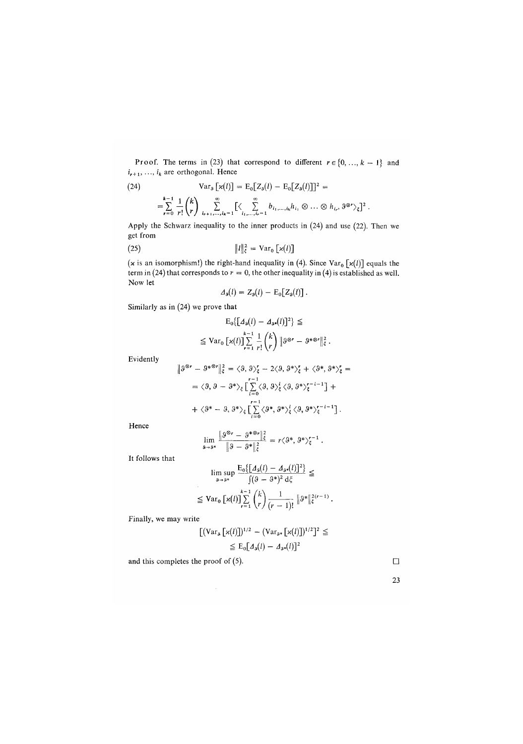Proof. The terms in (23) that correspond to different  $r \in \{0, ..., k - 1\}$  and  $i_{r+1}, \ldots, i_k$  are orthogonal. Hence

$$
(24) \quad \text{Var}_s [ \chi(l) ] = \mathrm{E}_0 [ Z_s(l) - \mathrm{E}_0 [ Z_s(l) ] ]^2 =
$$
  
=  $\sum_{r=0}^{k-1} \frac{1}{r!} {k \choose r} \sum_{i_{r+1},...,i_k=1}^{\infty} [ \langle \sum_{i_1,...,i_r=1}^{\infty} b_{i_1,...,i_k} h_{i_1} \otimes ... \otimes h_{i_r}, 3^{\otimes r} \rangle_{\xi} ]^2.$ 

Apply the Schwarz inequality to the inner products in (24) and use (22). Then we get from

(25) 
$$
||l||_{\xi}^{2} = \text{Var}_{0} [x(l)]
$$

(x is an isomorphism!) the right-hand inequality in (4). Since  $Var_0 \left[ \varkappa(l) \right]$  equals the term in (24) that corresponds to  $r = 0$ , the other inequality in (4) is established as well. Now let

$$
\varDelta_{\mathfrak{s}}(l)=Z_{\mathfrak{s}}(l)-\mathrm{E}_{0}\big[Z_{\mathfrak{s}}(l)\big].
$$

Similarly as in (24) we prove that

$$
E_0\big\{\big[A_3(l) - A_3 \cdot (l)\big]^2\big\} \le
$$
  

$$
\leq \text{Var}_0\big[\varkappa(l)\big] \sum_{r=1}^{k-1} \frac{1}{r!} {k \choose r} \|\vartheta^{\otimes r} - \vartheta^{*\otimes r}\|_{\xi}^2.
$$

Evidently

$$
\|\beta^{\otimes r} - \beta^{*\otimes r}\|_{\xi}^{2} = \langle \vartheta, \vartheta \rangle_{\xi}^{r} - 2\langle \vartheta, \vartheta^{*} \rangle_{\xi}^{r} + \langle \vartheta^{*}, \vartheta^{*} \rangle_{\xi}^{r} =
$$
  

$$
= \langle \vartheta, \vartheta - \vartheta^{*} \rangle_{\xi} \Big[ \sum_{i=0}^{r-1} \langle \vartheta, \vartheta \rangle_{\xi}^{i} \langle \vartheta, \vartheta^{*} \rangle_{\xi}^{r-i-1} \Big] +
$$
  

$$
+ \langle \vartheta^{*} - \vartheta, \vartheta^{*} \rangle_{\xi} \Big[ \sum_{i=0}^{r-1} \langle \vartheta^{*}, \vartheta^{*} \rangle_{\xi}^{i} \langle \vartheta, \vartheta^{*} \rangle_{\xi}^{r-i-1} \Big].
$$

Hence

$$
\lim_{\delta \to 9^*} \frac{\|\vartheta^{\otimes r} - \vartheta^{*\otimes r}\|_{\xi}^2}{\|\vartheta - \vartheta^*\|_{\xi}^2} = r \langle \vartheta^*, \vartheta^* \rangle_{\xi}^{r-1}.
$$

It follows that

$$
\limsup_{s \to s^*} \frac{E_0\{[A_s(t) - A_{s^*}(t)]^2\}}{\int (9 - 9^*)^2 d\xi} \le
$$
  

$$
\leq \text{Var}_0 \left[ \varkappa(t) \right] \sum_{r=1}^{k-1} {k \choose r} \frac{1}{(r-1)!} \|\vartheta^*\|_{\xi}^{2(r-1)}.
$$

Finally, we may write

$$
\begin{aligned} \left[ \left( \mathrm{Var}_{\mathfrak{s}} \left[ \varkappa(l) \right] \right)^{1/2} &- \left( \mathrm{Var}_{\mathfrak{s}^*} \left[ \varkappa(l) \right] \right)^{1/2} \right]^2 \leq \\ &\leq \mathrm{E}_0 \left[ \varDelta_{\mathfrak{s}}(l) - \varDelta_{\mathfrak{s}^*}(l) \right]^2 \end{aligned}
$$

and this completes the proof of (5).  $\Box$ 

| ٦<br>۰. |  |
|---------|--|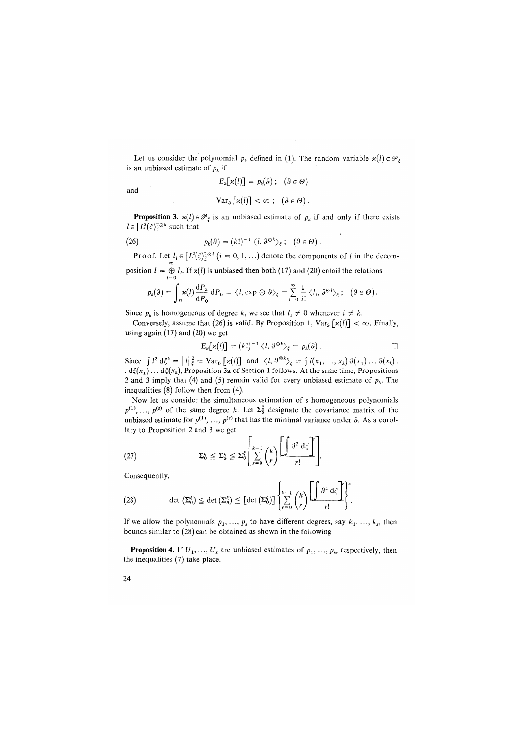Let us consider the polynomial  $p_k$  defined in (1). The random variable  $\varkappa(l) \in \mathcal{P}_{\xi}$ is an unbiased estimate of  $p_k$  if

$$
E_3[\mathbf{x}(l)] = p_k(\mathbf{\theta}); \quad (\mathbf{\theta} \in \Theta)
$$

and

$$
\text{Var}_{\vartheta}\left[\varkappa(l)\right] < \infty \; ; \; \left(\vartheta \in \Theta\right).
$$

**Proposition 3.**  $\varkappa(l) \in \mathcal{P}_{\varepsilon}$  is an unbiased estimate of  $p_k$  if and only if there exists  $l \in [L^2(\xi)]^{\odot k}$  such that

(26) 
$$
p_k(\vartheta) = (k!)^{-1} \langle l, \vartheta^{\odot k} \rangle_{\xi}; \quad (\vartheta \in \Theta).
$$

**Proof.** Let  $l_i \in [L^2(\xi)]^{\circ i}$   $(i = 0, 1, ...)$  denote the components of l in the decomposition  $I = \tilde{\Theta} I_i$ . If  $\varkappa(I)$  is unbiased then both (17) and (20) entail the relations

$$
p_k(\theta) = \int_{\Omega} \kappa(l) \frac{dP_{\theta}}{dP_0} dP_0 = \langle l, \exp \odot \theta \rangle_{\xi} = \sum_{i=0}^{\infty} \frac{1}{i!} \langle l_i, \theta^{\odot i} \rangle_{\xi}; \quad (\theta \in \Theta).
$$

Since  $p_k$  is homogeneous of degree k, we see that  $l_i \neq 0$  whenever  $i \neq k$ .

Conversely, assume that (26) is valid. By Proposition 1,  $Var_{9} [x(l)] < \infty$ . Finally, using again (17) and *(*20) we get

$$
\mathrm{E}_{\mathfrak{g}}[\varkappa(l)] = (k!)^{-1} \langle l, \vartheta^{\odot k} \rangle_{\xi} = p_k(\vartheta).
$$

Since  $\int l^2 d\xi^k = ||l||_{\xi}^2 = \text{Var}_0 [\alpha(l)]$  and  $\langle l, \vartheta^{\otimes k} \rangle_{\xi} = \int l(x_1, ..., x_k) \vartheta(x_1) ... \vartheta(x_k)$ . *. d^(xx) ... d£(xk),* Proposition 3a of Section 1 follows. At the same time, Propositions 2 and 3 imply that *(*4) and *(*5) remain valid for every unbiased estimate of *pk.* The inequalities *(*8) follow then from *(*4).

Now let us consider the simultaneous estimation of s homogeneous polynomials  $p^{(1)}$ , ...,  $p^{(s)}$  of the same degree k. Let  $\Sigma_{\delta}^{\xi}$  designate the covariance matrix of the unbiased estimate for  $p^{(1)}$ , ...,  $p^{(s)}$  that has the minimal variance under 9. As a corollary to Proposition 2 and 3 we get

$$
(27) \t\t\t \sum_{0}^{5} \leq \sum_{\delta}^{5} \leq \sum_{0}^{5} \left| \sum_{r=0}^{k-1} {k \choose r} \left[ \underbrace{\int \vartheta^{2} d \xi}_{r} \right]^{r} \right].
$$

Consequently,

(28) 
$$
\det\left(\Sigma_0^{\xi}\right) \leq \det\left(\Sigma_0^{\xi}\right) \leq \left[\det\left(\Sigma_0^{\xi}\right)\right] \left\{\sum_{r=0}^{k-1} {k \choose r} \prod_{r=0}^{k-1} \frac{\partial^2 d\xi}{r!}\right\}^s.
$$

If we allow the polynomials  $p_1, \ldots, p_s$  to have different degrees, say  $k_1, \ldots, k_s$ , then bounds similar to *(*28) can be obtained as shown in the following

**Proposition 4.** If  $U_1, \ldots, U_s$  are unbiased estimates of  $p_1, \ldots, p_s$ , respectively, then the inequalities *(*7) take place.

**24**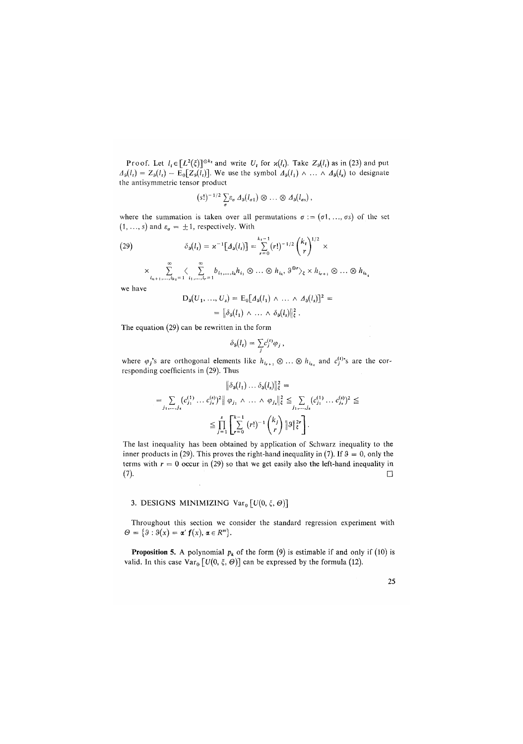Proof. Let  $l_t \in [L^2(\xi)]^{\odot k_t}$  and write  $U_t$  for  $\varkappa(l_t)$ . Take  $Z_9(l_t)$  as in (23) and put  $A_9(l_1) = Z_9(l_1) - E_9[Z_9(l_1)]$ . We use the symbol  $A_9(l_1) \wedge \ldots \wedge A_9(l_s)$  to designate the antisymmetric tensor product

$$
(s!)^{-1/2}\sum_{\sigma}\varepsilon_{\sigma}\,\varDelta_{\vartheta}(l_{\sigma 1})\otimes\ldots\otimes\varDelta_{\vartheta}(l_{\sigma s})\,,
$$

where the summation is taken over all permutations  $\sigma := (\sigma_1, \ldots, \sigma_s)$  of the set  $(1, ..., s)$  and  $\varepsilon_a = \pm 1$ , respectively. With

(29) 
$$
\delta_{3}(l_{t}) = \varkappa^{-1} [A_{3}(l_{t})] = \sum_{r=0}^{k_{t}-1} (r!)^{-1/2} {k_{t} \choose r}^{1/2} \times
$$

$$
\times \sum_{i_{n+1},\dots,i_{k_t}=1}^{\infty} \langle \sum_{i_1,\dots,i_r=1}^{\infty} b_{i_1,\dots,i_k} h_{i_1} \otimes \dots \otimes h_{i_k}, \vartheta^{\otimes r} \rangle_{\xi} \times h_{i_{r+1}} \otimes \dots \otimes h_{i_{k_t}}
$$

we have

$$
D_9(U_1, ..., U_s) = E_0[A_9(l_1) \wedge ... \wedge A_9(l_s)]^2 =
$$
  
=  $\|\delta_9(l_1) \wedge ... \wedge \delta_9(l_s)\|_s^2$ .

The equation (29) can be rewritten in the form

$$
\delta_{\vartheta}(l_i) = \sum_i c_j^{(i)} \varphi_j ,
$$

where  $\varphi_j$ 's are orthogonal elements like  $h_{i_{r+1}} \otimes \ldots \otimes h_{i_{k_t}}$  and  $c^{(1)}_j$ 's are the corresponding coefficients in (29). Thus

$$
\|\delta_{\delta}(l_1)\dots\delta_{\delta}(l_s)\|_{\xi}^2 =
$$
  

$$
= \sum_{j_1,\dots,j_s} (c_{j_1}^{(1)}\dots c_{j_s}^{(s)})^2 \|\varphi_{j_1}\wedge\dots\wedge\varphi_{j_s}\|_{\xi}^2 \leq \sum_{j_1,\dots,j_s} (c_{j_1}^{(1)}\dots c_{j_s}^{(s)})^2 \leq
$$
  

$$
\leq \prod_{j=1}^s \left[ \sum_{r=0}^{k-1} (r!)^{-1} {k_j \choose r} \|\varphi\|_{\xi}^{2r} \right].
$$

The last inequality has been obtained by application of Schwarz inequality to the inner products in (29). This proves the right-hand inequality in (7). If  $9 = 0$ , only the terms with  $r = 0$  occur in (29) so that we get easily also the left-hand inequality in (7). <sup>C</sup>*l*)- D

## 3. DESIGNS MINIMIZING  $Var_{0}[U(0, \xi, \Theta)]$

Throughout this section we consider the standard regression experiment with  $\Theta = \{ \theta : \theta(x) = \alpha' f(x), \alpha \in R^m \}.$ 

**Proposition 5.** A polynomial  $p_k$  of the form  $(9)$  is estimable if and only if  $(10)$  is valid. In this case  $\text{Var}_{0}\left[U(0, \xi, \Theta)\right]$  can be expressed by the formula (12).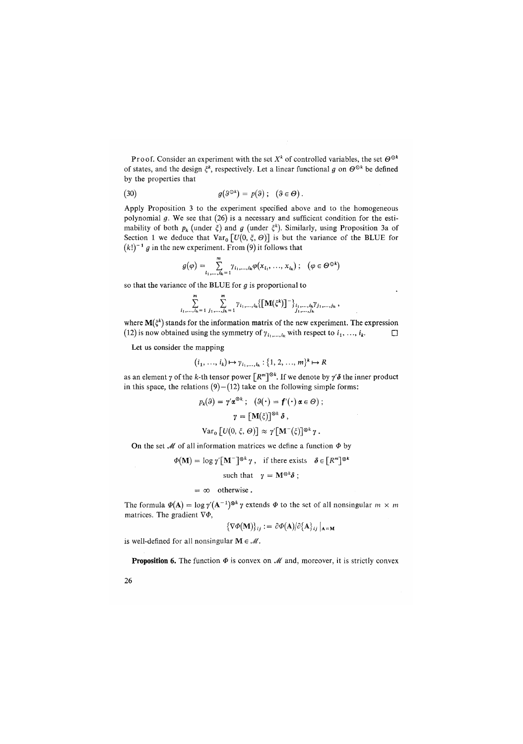Proof. Consider an experiment with the set  $X^k$  of controlled variables, the set  $\Theta^{\odot k}$ of states, and the design  $\xi^k$ , respectively. Let a linear functional g on  $\Theta^{\odot k}$  be defined by the properties that

(30) 
$$
g(\vartheta^{\odot k}) = p(\vartheta); \quad (\vartheta \in \Theta).
$$

Apply Proposition 3 to the experiment specified above and to the homogeneous polynomial *g.* We see that (26) is a necessary and sufficient condition for the estimability of both  $p_k$  (under  $\xi$ ) and g (under  $\xi^k$ ). Similarly, using Proposition 3a of Section 1 we deduce that  $Var_0 [U(0, \xi, \Theta)]$  is but the variance of the BLUE for  $(k!)^{-1}$  g in the new experiment. From  $(9)$  it follows that

$$
g(\varphi) = \sum_{i_1,\ldots,i_k=1}^m \gamma_{i_1,\ldots,i_k} \varphi(x_{i_1},\ldots,x_{i_k}) ; \quad (\varphi \in \Theta^{\odot k})
$$

so that the variance of the BLUE for *g* is proportional to

 $\sim$ 

$$
\sum_{i_1,\ldots,i_k=1}^m \sum_{j_1,\ldots,j_k=1}^m \gamma_{i_1,\ldots,i_k} \big\{ \big[\mathbf{M}(\xi^k)\big]^{-1} \big\}_{i_1,\ldots,i_k}^{\cdot} \gamma_{j_1,\ldots,j_k} \,,
$$

where  $\mathbf{M}(\zeta^k)$  stands for the information matrix of the new experiment. The expression (12) is now obtained using the symmetry of  $\gamma_{i_1,\dots,i_k}$  with respect to  $i_1, \dots, i_k$ .

Let us consider the mapping

$$
(i_1, ..., i_k) \mapsto \gamma_{i_1, ..., i_k} : \{1, 2, ..., m\}^k \mapsto R
$$

as an element  $\gamma$  of the k-th tensor power  $\lceil R^m \rceil^{\otimes k}$ . If we denote by  $\gamma' \delta$  the inner product in this space, the relations  $(9) - (12)$  take on the following simple forms:

$$
p_k(\theta) = \gamma' \alpha^{\otimes \kappa}; \quad (\theta(\cdot) = f'(\cdot) \alpha \in \Theta);
$$

$$
\gamma = [M(\xi)]^{\otimes k} \delta,
$$

$$
Var_0 [U(0, \xi, \Theta)] \approx \gamma' [M^-(\xi)]^{\otimes k} \gamma.
$$

On the set  $M$  of all information matrices we define a function  $\Phi$  by

$$
\Phi(\mathbf{M}) = \log \gamma [\mathbf{M}^-]^{\otimes k} \gamma , \text{ if there exists } \delta \in [R^m]^{\otimes k}
$$

such that  $\gamma = M^{\otimes k} \delta$ ;

 $= \infty$  otherwise.

The formula  $\Phi(\mathbf{A}) = \log \gamma'(\mathbf{A}^{-1})^{\otimes k} \gamma$  extends  $\Phi$  to the set of all nonsingular  $m \times m$ matrices. The gradient  $\nabla \Phi$ ,

$$
\{\nabla \Phi(\mathbf{M})\}_{ij} := \partial \Phi(\mathbf{A})/\partial \{\mathbf{A}\}_{ij}\big|_{\mathbf{A}=\mathbf{M}}
$$

is well-defined for all nonsingular  $M \in \mathcal{M}$ .

**Proposition 6.** The function  $\Phi$  is convex on  $\mathcal{M}$  and, moreover, it is strictly convex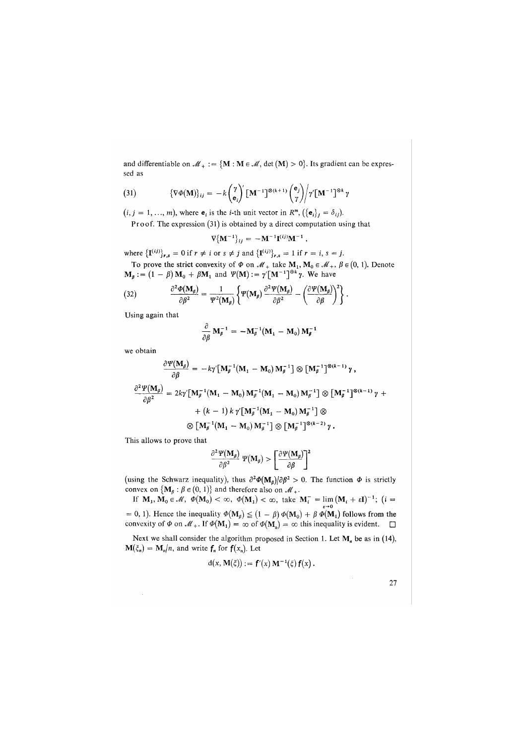and differentiable on  $\mathcal{M}_+ := \{ \mathbf{M} : \mathbf{M} \in \mathcal{M}, \text{det}(\mathbf{M}) > 0 \}.$  Its gradient can be expressed as

(31) 
$$
\{\nabla \Phi(\mathbf{M})\}_{ij} = -k \begin{pmatrix} \gamma \\ \mathbf{e}_i \end{pmatrix}^{\prime} [\mathbf{M}^{-1}]^{\otimes (k+1)} \begin{pmatrix} \mathbf{e}_j \\ \gamma \end{pmatrix} \gamma [\mathbf{M}^{-1}]^{\otimes k} \gamma
$$

 $(i, j = 1, ..., m)$ , where  $\mathbf{e}_i$  is the *i*-th unit vector in  $R^m$ ,  $({\{\mathbf{e}_i\}}_j = \delta_{ij})$ .

Proof. The expression (31) is obtained by a direct computation using that

$$
\nabla \{ {\bf M}^{-1} \}_{ij} = - {\bf M}^{-1} {\bf I}^{(ij)} {\bf M}^{-1} ,
$$

where  $\{I^{(ij)}\}_{r,s} = 0$  if  $r \neq i$  or  $s \neq j$  and  $\{I^{(ij)}\}_{r,s} = 1$  if  $r = i, s = j$ . To prove the strict convexity of  $\Phi$  on  $\mathcal{M}_+$  take  $M_1, M_0 \in \mathcal{M}_+$ ,  $\beta \in (0, 1)$ . Denote

$$
\mathbf{M}_{\beta} := (1 - \beta) \mathbf{M}_0 + \beta \mathbf{M}_1 \text{ and } \Psi(\mathbf{M}) := \gamma [\mathbf{M}^{-1}]^{\otimes k} \gamma. \text{ We have}
$$

(32) 
$$
\frac{\partial^2 \Phi(\mathbf{M}_\beta)}{\partial \beta^2} = \frac{1}{\Psi^2(\mathbf{M}_\beta)} \left\{ \Psi(\mathbf{M}_\beta) \frac{\partial^2 \Psi(\mathbf{M}_\beta)}{\partial \beta^2} - \left( \frac{\partial \Psi(\mathbf{M}_\beta)}{\partial \beta} \right)^2 \right\}.
$$

Using again that

$$
\frac{\partial}{\partial \beta} \mathbf{M}_{\beta}^{-1} = -\mathbf{M}_{\beta}^{-1} (\mathbf{M}_{1} - \mathbf{M}_{0}) \mathbf{M}_{\beta}^{-1}
$$

we obtain

$$
\frac{\partial \Psi(\mathbf{M}_{\beta})}{\partial \beta} = -k\gamma [\mathbf{M}_{\beta}^{-1}(\mathbf{M}_{1} - \mathbf{M}_{0})\mathbf{M}_{\beta}^{-1}] \otimes [\mathbf{M}_{\beta}^{-1}]^{\otimes (k-1)} \gamma,
$$
  

$$
\frac{\partial^{2} \Psi(\mathbf{M}_{\beta})}{\partial \beta^{2}} = 2k\gamma [\mathbf{M}_{\beta}^{-1}(\mathbf{M}_{1} - \mathbf{M}_{0})\mathbf{M}_{\beta}^{-1}(\mathbf{M}_{1} - \mathbf{M}_{0})\mathbf{M}_{\beta}^{-1}] \otimes [\mathbf{M}_{\beta}^{-1}]^{\otimes (k-1)} \gamma +
$$

$$
+ (k-1) k \gamma [\mathbf{M}_{\beta}^{-1}(\mathbf{M}_{1} - \mathbf{M}_{0})\mathbf{M}_{\beta}^{-1}] \otimes
$$

$$
\otimes [\mathbf{M}_{\beta}^{-1}(\mathbf{M}_{1} - \mathbf{M}_{0})\mathbf{M}_{\beta}^{-1}] \otimes [\mathbf{M}_{\beta}^{-1}]^{\otimes (k-2)} \gamma.
$$

This allows to prove that

$$
\frac{\partial^2 \Psi(M_\beta)}{\partial \beta^2} \Psi(M_\beta) > \left[\frac{\partial \Psi(M_\beta)}{\partial \beta}\right]^2
$$
\n(using the Schwarz inequality), thus  $\partial^2 \Phi(M_\beta)/\partial \beta^2 > 0$ . The function Φ is strictly

convex on  $\{M_\beta : \beta \in (0, 1)\}\$  and therefore also on  $\mathcal{M}_+$ .

If  $\mathbf{M}_1, \mathbf{M}_0 \in \mathcal{M}$ ,  $\phi(\mathbf{M}_0) < \infty$ ,  $\phi(\mathbf{M}_1) < \infty$ , take  $\mathbf{M}_i^- = \lim_{\epsilon \to 0} (\mathbf{M}_i + \epsilon \mathbf{I})^{-1}$ ; (*i* =

= 0, 1). Hence the inequality  $\Phi(\mathbf{M}_{\beta}) \leq (1 - \beta) \Phi(\mathbf{M}_{0}) + \beta \Phi(\mathbf{M}_{1})$  follows from the convexity of  $\Phi$  on  $\mathcal{M}_+$ . If  $\Phi(\mathbf{M}_1) = \infty$  of  $\Phi(\mathbf{M}_0) = \infty$  this inequality is evident.  $\Box$ 

Next we shall consider the algorithm proposed in Section 1. Let  $M_n$  be as in (14),  $\mathbf{M}(\xi_n) = \mathbf{M}_n/n$ , and write  $\mathbf{f}_n$  for  $\mathbf{f}(x_n)$ . Let

$$
d(x, M(\xi)) := f'(x) M^{-1}(\xi) f(x).
$$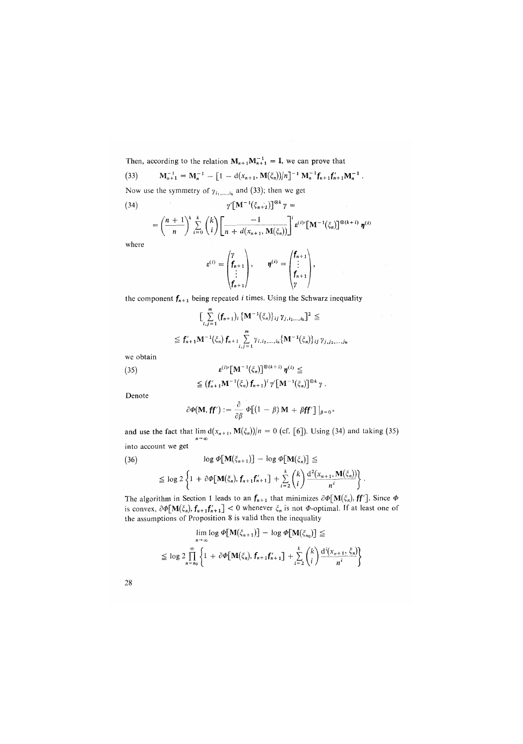Then, according to the relation  $M_{n+1}M_{n+1}^{-1} = I$ , we can prove that (33)  $\mathbf{M}_{n+1}^{-1} = \mathbf{M}_n^{-1} - [1 - d(x_{n+1}, \mathbf{M}(\xi_n)) / n]^{-1} \mathbf{M}_n^{-1} \mathbf{f}_{n+1} \mathbf{f}_{n+1}' \mathbf{M}_n^{-1}.$ Now use the symmetry of  $\gamma_{i_1,\dots,i_k}$  and (33); then we get (34)  $\gamma'[\mathbf{M}^{-1}(\xi_{n+1})]^{\otimes k} \gamma =$  $=\left(\frac{n+1}{n}\right)^k \sum_{i=0}^k {k \choose i} \left[\frac{-1}{n+d(x_{n+1}, M(\xi_n))}\right]^i \varepsilon^{(i)}[M]$  $\int_0^{\infty} \left(\xi_n\right)^{1} \otimes (k+i) \eta^{(i)}$ 

where

$$
\varepsilon^{(i)} = \begin{pmatrix} \gamma \\ \mathbf{f}_{n+1} \\ \vdots \\ \mathbf{f}_{n+1} \end{pmatrix}, \qquad \eta^{(i)} = \begin{pmatrix} \mathbf{f}_{n+1} \\ \vdots \\ \mathbf{f}_{n+1} \\ \gamma \end{pmatrix},
$$

the component  $f_{n+1}$  being repeated *i* times. Using the Schwarz inequality

$$
\left[\sum_{i,j=1}^{n} \left(f_{n+1}\right)_{i} \left\{ \mathbf{M}^{-1}(\xi_{n}) \right\}_{ij} \gamma_{j,i_{2}...i_{k}} \right]^{2} \leq
$$
\n
$$
\leq f'_{n+1} \mathbf{M}^{-1}(\xi_{n}) f_{n+1} \sum_{i,j=1}^{n} \gamma_{i,i_{2},...,i_{k}} \left\{ \mathbf{M}^{-1}(\xi_{n}) \right\}_{ij} \gamma_{j,j_{2},...,j_{k}}
$$

we obtain

(35) 
$$
\mathbf{\epsilon}^{(1)}\left[\mathbf{M}^{-1}(\xi_n)\right]^{\otimes(k+1)}\mathbf{\eta}^{(i)} \leq
$$

$$
\leq (\mathbf{f}_{n+1}'\mathbf{M}^{-1}(\xi_n)\mathbf{f}_{n+1})^T\gamma\left[\mathbf{M}^{-1}(\xi_n)\right]^{\otimes k}\gamma.
$$

Denote

$$
\partial \varPhi(\mathbf{M}, \mathbf{f} \mathbf{f}') := \frac{\partial}{\partial \beta} \varPhi \big[ (1 - \beta) \mathbf{M} + \beta \mathbf{f} \mathbf{f}' \big] \big|_{\beta = 0}.
$$

and use the fact that  $\lim_{n \to \infty} d(x_{n+1}, M(\xi_n))/n = 0$  (cf. [6]). Using (34) and taking (35) into account we get

$$
(36) \qquad \log \Phi[\mathbf{M}(\xi_{n+1})] - \log \Phi[\mathbf{M}(\xi_n)] \le
$$
  

$$
\le \log 2 \left\{ 1 + \partial \Phi[\mathbf{M}(\xi_n), f_{n+1}f'_{n+1}] + \sum_{i=2}^k {k \choose i} \frac{d^2(x_{n+1}, \mathbf{M}(\xi_n))}{n^i} \right\}
$$

The algorithm in Section 1 leads to an  $f_{n+1}$  that minimizes  $\partial \Phi[\mathbf{M}(\xi_n), \mathbf{f} \mathbf{f}']$ . Since  $\Phi$ is convex,  $\partial \Phi[\mathbf{M}(\xi_n), \mathbf{f}_{n+1}\mathbf{f}_{n+1}'] < 0$  whenever  $\xi_n$  is not  $\Phi$ -optimal. If at least one of the assumptions of Proposition 8 is valid then the inequality

$$
\lim_{n \to \infty} \log \Phi[\mathbf{M}(\xi_{n+1})] - \log \Phi[\mathbf{M}(\xi_{n_0})] \le
$$
  

$$
\leq \log 2 \prod_{n=n_0}^{\infty} \left\{ 1 + \partial \Phi[\mathbf{M}(\xi_n), \mathbf{f}_{n+1} \mathbf{f}_{n+1}'] + \sum_{i=2}^k {k \choose i} \frac{d^i(x_{n+1}, \xi_n)}{n^i} \right\}
$$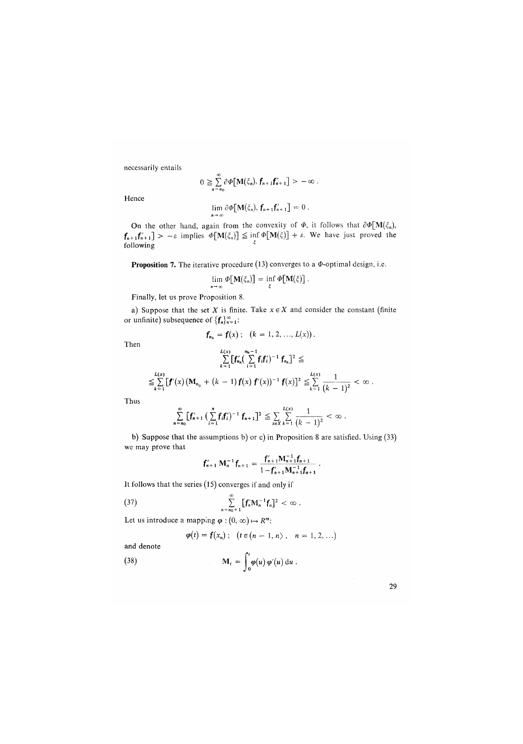necessarily entails

$$
0 \geqq \sum_{n=n_0}^{\infty} \partial \Phi \big[ \mathbf{M}(\xi_n), \, \mathbf{f}_{n+1} \mathbf{f}_{n+1}' \big] > -\infty \; .
$$

Hence

$$
\lim_{n \to \infty} \partial \Phi[\mathbf{M}(\xi_n), \mathbf{f}_{n+1}\mathbf{f}'_{n+1}] = 0.
$$

On the other hand, again from the convexity of  $\Phi$ , it follows that  $\partial \Phi[\mathbf{M}(\xi_n)]$ ,  $f_{n+1}f'_{n+1} > -\varepsilon$  implies  $\Phi[\mathbf{M}(\xi)] \leq \inf \Phi[\mathbf{M}(\xi)] + \varepsilon$ . We have just proved the following

**Proposition 7.** The iterative procedure (13) converges to a  $\Phi$ -optimal design, i.e.

$$
\lim_{n\to\infty}\Phi[\mathbf{M}(\xi_n)] = \inf_{\xi}\Phi[\mathbf{M}(\xi)].
$$

Finally, let us prove Proposition 8.

a) Suppose that the set *X* is finite. Take  $x \in X$  and consider the constant (finite or unfinite) subsequence of  ${f_n}_{n=1}^{\infty}$ :

$$
f_{n_k} = f(x); \quad (k = 1, 2, ..., L(x)).
$$

Then

$$
\sum_{k=1}^{L(x)}\big[f'_{n_k}\big(\sum_{i=1}^{n_k-1}f_if'_i\big)^{-1}f_{n_k}\big]^2\le
$$

$$
\leq \sum_{k=1}^{L(x)} [f'(x) (M_{n_0} + (k-1) f(x) f'(x))^{-1} f(x)]^2 \leq \sum_{k=1}^{L(x)} \frac{1}{(k-1)^2} < \infty.
$$

Thus

$$
\sum_{n=n_0}^{\infty} \left[ \mathbf{f}_{n+1}' \left( \sum_{i=1}^{n} \mathbf{f}_i \mathbf{f}_i' \right)^{-1} \mathbf{f}_{n+1} \right]^2 \leq \sum_{x \in X} \sum_{k=1}^{L(x)} \frac{1}{(k-1)^2} < \infty.
$$

b) Suppose that the assumptions b) or c) in Proposition 8 are satisfied. Using (33) we may prove that

$$
f'_{n+1} \mathbf{M}_n^{-1} f_{n+1} = \frac{f'_{n+1} \mathbf{M}_{n+1}^{-1} f_{n+1}}{1 - f'_{n+1} \mathbf{M}_{n+1}^{-1} f_{n+1}}.
$$

 $\mathbf{u}$ -f  $\mathbf{u}$ 

(37) 
$$
\sum_{n=n_0+1}^{\infty} [f'_n M_n^{-1} f_n]^2 < \infty.
$$

Let us introduce a mapping  $\varphi$  :  $(0, \infty) \mapsto R^m$ :

$$
\varphi(t) = f(x_n); \quad (t \in (n-1, n), \quad n = 1, 2, ...)
$$

and denote

(38) 
$$
\mathbf{M}_{t} = \int_{0}^{t} \boldsymbol{\varphi}(u) \, \boldsymbol{\varphi}'(u) \, \mathrm{d}u \, .
$$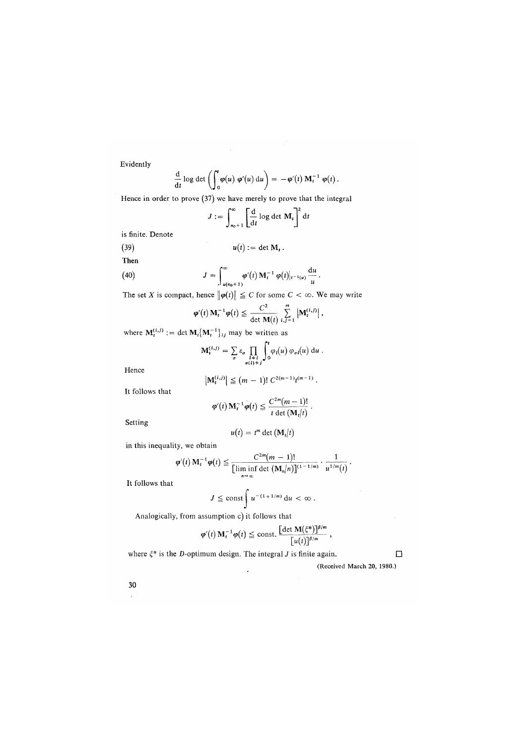Evidently

$$
\frac{\mathrm{d}}{\mathrm{d}t}\log\det\left(\int_0^t\varphi(u)\,\varphi'(u)\,\mathrm{d}u\right)=-\varphi'(t)\,\mathbf{M}_t^{-1}\,\varphi(t)\,.
$$

Hence in order to prove (37) we have merely to prove that the integral

$$
J := \int_{n_0+1}^{\infty} \left[ \frac{d}{dt} \log \det M_t \right]^2 dt
$$

is finite. Denote

$$
(39) \t u(t) := \det \mathbf{M}_t.
$$

Then

(40) 
$$
J = \int_{u(n_0+1)}^{\infty} \varphi'(t) \, M_t^{-1} \, \varphi(t)|_{t^{-1}(u)} \, \frac{du}{u}.
$$

The set X is compact, hence  $\|\varphi(t)\| \leq C$  for some  $C < \infty$ . We may write

$$
\varphi'(t) \mathbf{M}_t^{-1} \varphi(t) \leq \frac{C^2}{\det \mathbf{M}(t)} \sum_{i,j=1}^m \left| \mathbf{M}_t^{(i,j)} \right|,
$$

where  $M_t^{(i,j)} := \det M_t \{M_t^{-1}\}_{ij}$  may be written as

$$
\mathbf{M}_{\mathbf{i}}^{(i,j)} = \sum_{\sigma} \varepsilon_{\sigma} \prod_{\substack{l \neq i \\ \sigma(l) \neq j}} \int_{0}^{t} \varphi_{l}(u) \varphi_{\sigma l}(u) du.
$$

Hence

$$
\left|\mathbf{M}_t^{(i,j)}\right| \leq (m-1)! \ C^{2(m-1)} t^{(m-1)}.
$$

It follows that

$$
\varphi'(t) \mathbf{M}_t^{-1} \varphi(t) \leq \frac{C^{2m}(m-1)!}{t \det(\mathbf{M}_t|t)}.
$$

Setting

$$
u(t) = t^m \det \left( \mathbf{M}_t \middle| t \right)
$$

 $\mathcal{L}_{\mathcal{A}}$  .

in this inequality, we obtain

$$
\varphi'(t) \mathbf{M}_t^{-1} \varphi(t) \leq \frac{C^{2m}(m-1)!}{\left[\liminf_{n \to \infty} \det \left(\mathbf{M}_n/n\right)\right]^{(1-1/m)}} \cdot \frac{1}{u^{1/m}(t)}.
$$

It follows that

$$
J \leq \text{const} \int u^{-(1+1/m)} du < \infty.
$$

Analogically, from assumption c) it follows that

$$
\varphi'(t) \mathbf{M}_t^{-1} \varphi(t) \leq \text{const.} \frac{\left[\det \mathbf{M}(\xi^*)\right]^{\beta/m}}{\left[u(t)\right]^{\beta/m}},
$$

where  $\xi^*$  is the *D*-optimum design. The integral *J* is finite again.  $\Box$ 

(Received March 20, 1980.)

**30**  $\lambda$